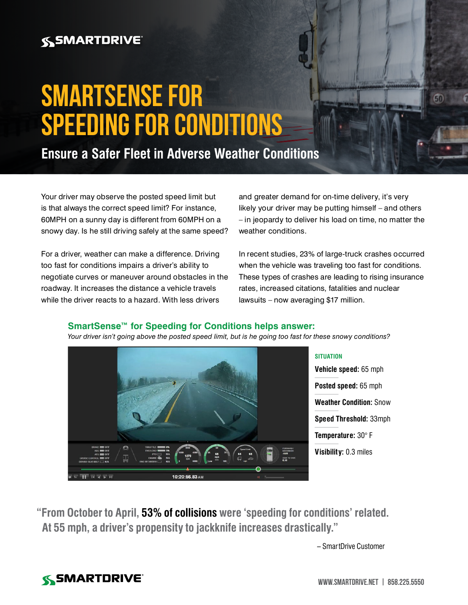## **SSMARTDRIVE**

# **SmartSense for Speeding for Conditions**

**Ensure a Safer Fleet in Adverse Weather Conditions**

Your driver may observe the posted speed limit but is that always the correct speed limit? For instance, 60MPH on a sunny day is different from 60MPH on a snowy day. Is he still driving safely at the same speed?

For a driver, weather can make a difference. Driving too fast for conditions impairs a driver's ability to negotiate curves or maneuver around obstacles in the roadway. It increases the distance a vehicle travels while the driver reacts to a hazard. With less drivers

and greater demand for on-time delivery, it's very likely your driver may be putting himself – and others – in jeopardy to deliver his load on time, no matter the weather conditions.

In recent studies, 23% of large-truck crashes occurred when the vehicle was traveling too fast for conditions. These types of crashes are leading to rising insurance rates, increased citations, fatalities and nuclear lawsuits – now averaging \$17 million.

#### **SmartSense™ for Speeding for Conditions helps answer:**



*Your driver isn't going above the posted speed limit, but is he going too fast for these snowy conditions?*

**SITUATION**

**Vehicle speed:** 65 mph **Posted speed:** 65 mph **Weather Condition:** Snow **Speed Threshold:** 33mph **Temperature:** 30° F **Visibility:** 0.3 miles

**"From October to April, 53% of collisions were 'speeding for conditions' related. At 55 mph, a driver's propensity to jackknife increases drastically."**

– SmartDrive Customer

## **SSMARTDRIVE**